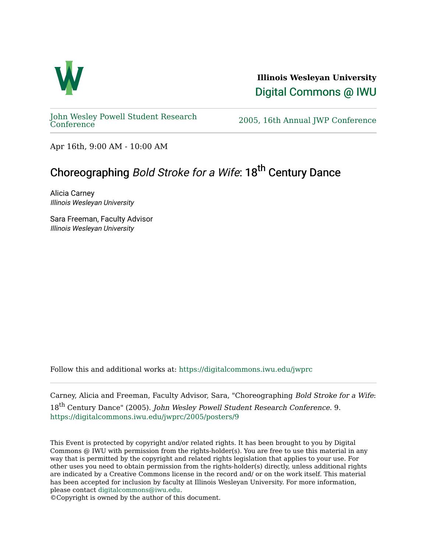

**Illinois Wesleyan University**  [Digital Commons @ IWU](https://digitalcommons.iwu.edu/) 

[John Wesley Powell Student Research](https://digitalcommons.iwu.edu/jwprc) 

2005, 16th Annual JWP [Conference](https://digitalcommons.iwu.edu/jwprc)

Apr 16th, 9:00 AM - 10:00 AM

## Choreographing Bold Stroke for a Wife: 18<sup>th</sup> Century Dance

Alicia Carney Illinois Wesleyan University

Sara Freeman, Faculty Advisor Illinois Wesleyan University

Follow this and additional works at: [https://digitalcommons.iwu.edu/jwprc](https://digitalcommons.iwu.edu/jwprc?utm_source=digitalcommons.iwu.edu%2Fjwprc%2F2005%2Fposters%2F9&utm_medium=PDF&utm_campaign=PDFCoverPages) 

Carney, Alicia and Freeman, Faculty Advisor, Sara, "Choreographing Bold Stroke for a Wife: 18<sup>th</sup> Century Dance" (2005). John Wesley Powell Student Research Conference. 9. [https://digitalcommons.iwu.edu/jwprc/2005/posters/9](https://digitalcommons.iwu.edu/jwprc/2005/posters/9?utm_source=digitalcommons.iwu.edu%2Fjwprc%2F2005%2Fposters%2F9&utm_medium=PDF&utm_campaign=PDFCoverPages) 

This Event is protected by copyright and/or related rights. It has been brought to you by Digital Commons @ IWU with permission from the rights-holder(s). You are free to use this material in any way that is permitted by the copyright and related rights legislation that applies to your use. For other uses you need to obtain permission from the rights-holder(s) directly, unless additional rights are indicated by a Creative Commons license in the record and/ or on the work itself. This material has been accepted for inclusion by faculty at Illinois Wesleyan University. For more information, please contact [digitalcommons@iwu.edu.](mailto:digitalcommons@iwu.edu)

©Copyright is owned by the author of this document.